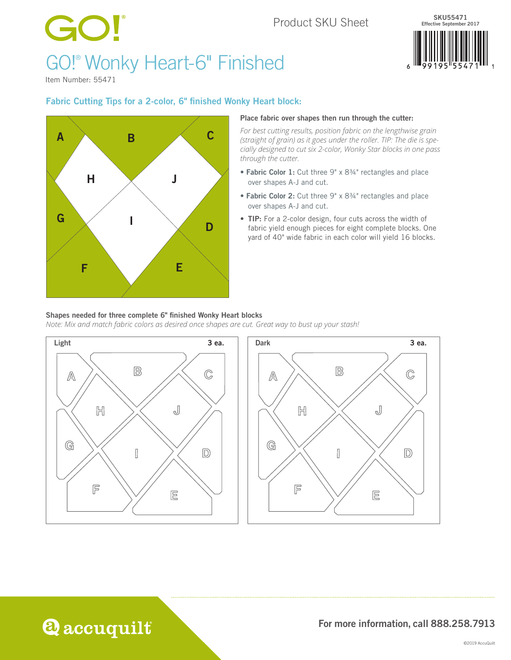### Product SKU Sheet

# GO! GO!® Wonky Heart-6" Finished



Item Number: 55471

#### Fabric Cutting Tips for a 2-color, 6" finished Wonky Heart block:



#### Place fabric over shapes then run through the cutter:

*For best cutting results, position fabric on the lengthwise grain (straight of grain) as it goes under the roller. TIP: The die is specially designed to cut six 2-color, Wonky Star blocks in one pass through the cutter.*

- Fabric Color 1: Cut three 9" x 8¾" rectangles and place over shapes A-J and cut.
- Fabric Color 2: Cut three 9" x 8¾" rectangles and place over shapes A-J and cut.
- TIP: For a 2-color design, four cuts across the width of fabric yield enough pieces for eight complete blocks. One yard of 40" wide fabric in each color will yield 16 blocks.

#### Shapes needed for three complete 6" finished Wonky Heart blocks

*Note: Mix and match fabric colors as desired once shapes are cut. Great way to bust up your stash!*



## **Q** accuquilt

#### For more information, call 888.258.7913

 $\mathbb{C}$ 

 $\mathbb{D}$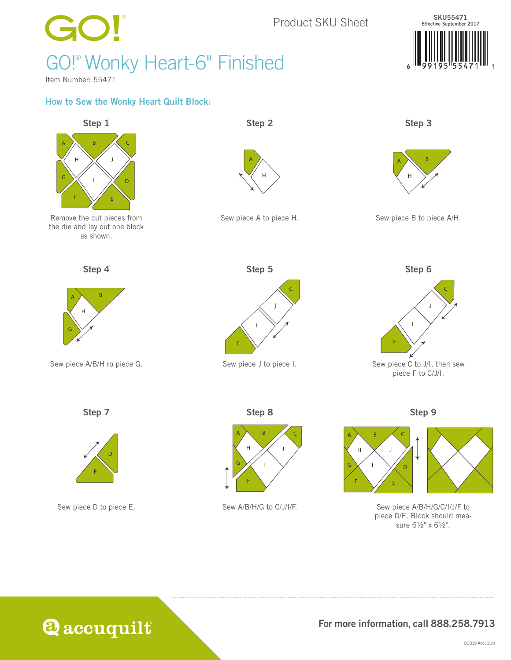

## **@accuquilt**

### For more information, call 888.258.7913